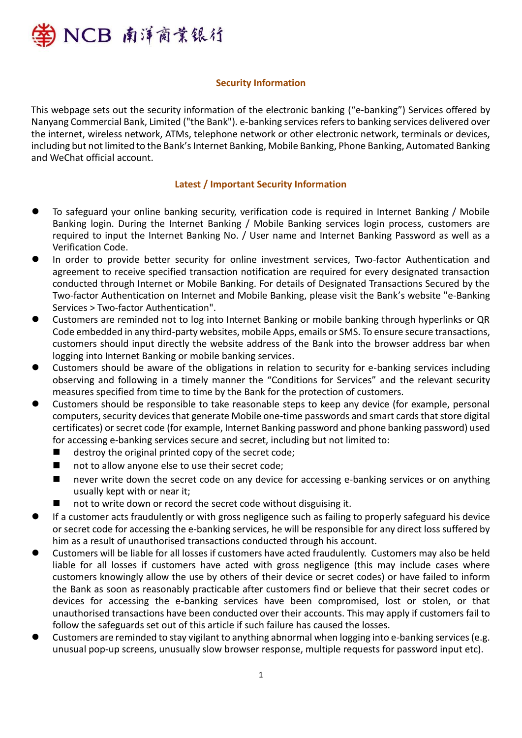

### **Security Information**

This webpage sets out the security information of the electronic banking ("e-banking") Services offered by Nanyang Commercial Bank, Limited ("the Bank"). e-banking services refers to banking services delivered over the internet, wireless network, ATMs, telephone network or other electronic network, terminals or devices, including but not limited to the Bank's Internet Banking, Mobile Banking, Phone Banking, Automated Banking and WeChat official account.

#### **Latest / Important Security Information**

- ⚫ To safeguard your online banking security, verification code is required in Internet Banking / Mobile Banking login. During the Internet Banking / Mobile Banking services login process, customers are required to input the Internet Banking No. / User name and Internet Banking Password as well as a Verification Code.
- In order to provide better security for online investment services, Two-factor Authentication and agreement to receive specified transaction notification are required for every designated transaction conducted through Internet or Mobile Banking. For details of Designated Transactions Secured by the Two-factor Authentication on Internet and Mobile Banking, please visit the Bank's website "e-Banking Services > Two-factor Authentication".
- ⚫ Customers are reminded not to log into Internet Banking or mobile banking through hyperlinks or QR Code embedded in any third-party websites, mobile Apps, emails or SMS. To ensure secure transactions, customers should input directly the website address of the Bank into the browser address bar when logging into Internet Banking or mobile banking services.
- ⚫ Customers should be aware of the obligations in relation to security for e-banking services including observing and following in a timely manner the "Conditions for Services" and the relevant security measures specified from time to time by the Bank for the protection of customers.
- ⚫ Customers should be responsible to take reasonable steps to keep any device (for example, personal computers, security devices that generate Mobile one-time passwords and smart cards that store digital certificates) or secret code (for example, Internet Banking password and phone banking password) used for accessing e-banking services secure and secret, including but not limited to:
	- $\blacksquare$  destroy the original printed copy of the secret code;
	- not to allow anyone else to use their secret code;
	- never write down the secret code on any device for accessing e-banking services or on anything usually kept with or near it;
	- not to write down or record the secret code without disguising it.
- ⚫ If a customer acts fraudulently or with gross negligence such as failing to properly safeguard his device or secret code for accessing the e-banking services, he will be responsible for any direct loss suffered by him as a result of unauthorised transactions conducted through his account.
- ⚫ Customers will be liable for all losses if customers have acted fraudulently. Customers may also be held liable for all losses if customers have acted with gross negligence (this may include cases where customers knowingly allow the use by others of their device or secret codes) or have failed to inform the Bank as soon as reasonably practicable after customers find or believe that their secret codes or devices for accessing the e-banking services have been compromised, lost or stolen, or that unauthorised transactions have been conducted over their accounts. This may apply if customers fail to follow the safeguards set out of this article if such failure has caused the losses.
- Customers are reminded to stay vigilant to anything abnormal when logging into e-banking services (e.g. unusual pop-up screens, unusually slow browser response, multiple requests for password input etc).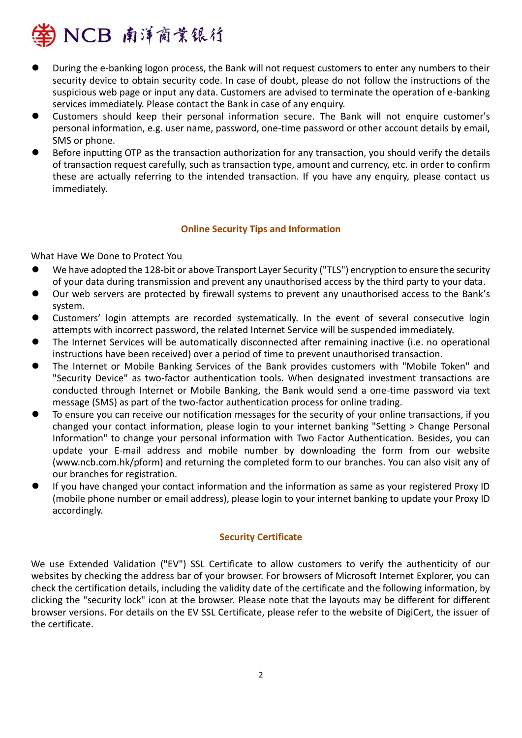

- ⚫ During the e-banking logon process, the Bank will not request customers to enter any numbers to their security device to obtain security code. In case of doubt, please do not follow the instructions of the suspicious web page or input any data. Customers are advised to terminate the operation of e-banking services immediately. Please contact the Bank in case of any enquiry.
- ⚫ Customers should keep their personal information secure. The Bank will not enquire customer's personal information, e.g. user name, password, one-time password or other account details by email, SMS or phone.
- Before inputting OTP as the transaction authorization for any transaction, you should verify the details of transaction request carefully, such as transaction type, amount and currency, etc. in order to confirm these are actually referring to the intended transaction. If you have any enquiry, please contact us immediately.

### **Online Security Tips and Information**

What Have We Done to Protect You

- We have adopted the 128-bit or above Transport Layer Security ("TLS") encryption to ensure the security of your data during transmission and prevent any unauthorised access by the third party to your data.
- ⚫ Our web servers are protected by firewall systems to prevent any unauthorised access to the Bank's system.
- ⚫ Customers' login attempts are recorded systematically. In the event of several consecutive login attempts with incorrect password, the related Internet Service will be suspended immediately.
- ⚫ The Internet Services will be automatically disconnected after remaining inactive (i.e. no operational instructions have been received) over a period of time to prevent unauthorised transaction.
- ⚫ The Internet or Mobile Banking Services of the Bank provides customers with "Mobile Token" and "Security Device" as two-factor authentication tools. When designated investment transactions are conducted through Internet or Mobile Banking, the Bank would send a one-time password via text message (SMS) as part of the two-factor authentication process for online trading.
- ⚫ To ensure you can receive our notification messages for the security of your online transactions, if you changed your contact information, please login to your internet banking "Setting > Change Personal Information" to change your personal information with Two Factor Authentication. Besides, you can update your E-mail address and mobile number by downloading the form from our website (www.ncb.com.hk/pform) and returning the completed form to our branches. You can also visit any of our branches for registration.
- ⚫ If you have changed your contact information and the information as same as your registered Proxy ID (mobile phone number or email address), please login to your internet banking to update your Proxy ID accordingly.

#### **Security Certificate**

We use Extended Validation ("EV") SSL Certificate to allow customers to verify the authenticity of our websites by checking the address bar of your browser. For browsers of Microsoft Internet Explorer, you can check the certification details, including the validity date of the certificate and the following information, by clicking the "security lock" icon at the browser. Please note that the layouts may be different for different browser versions. For details on the EV SSL Certificate, please refer to the website of DigiCert, the issuer of the certificate.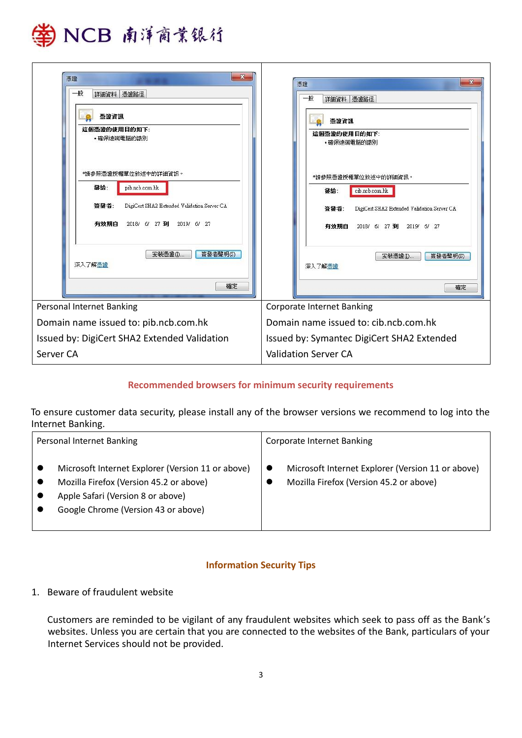

| $\mathbf{x}$<br>憑證<br>一般<br>詳細資料 憑證路徑<br>憑證資訊<br>這個憑證的使用目的如下:<br>•確保遠端電腦的識別<br><b>*請參照憑證授權單位敘述中的詳細資訊。</b><br>發給:<br>pib.ncb.com.hk<br>DigiCert SHA2 Extended Validation Server CA<br>答登者:<br>有效期白<br>2018/ 6/ 27 到<br>2019/ 6/ 27<br>安装憑證(1)<br>签登者壁明(S)<br>深入了解憑證<br>確定 | x<br>憑證<br>一般<br>詳細資料 憑證路徑<br>憑證資訊<br>這個憑證的使用目的如下:<br>•確保遠端電腦的識別<br><b>*請參照憑證授權單位敘述中的詳細資訊。</b><br>發給:<br>cib.ncb.com.hk<br>簽發者:<br>DigiCert SHA2 Extended Validation Server CA<br>有效期白<br>2018/ 6/ 27 到 2019/ 6/ 27<br>安装憑證(I)<br>簽發者聲明(S)<br>深入了解憑證<br>確定 |
|--------------------------------------------------------------------------------------------------------------------------------------------------------------------------------------------------------------------------------------------------------------------------|------------------------------------------------------------------------------------------------------------------------------------------------------------------------------------------------------------------------------------------------------------|
| <b>Personal Internet Banking</b>                                                                                                                                                                                                                                         | <b>Corporate Internet Banking</b>                                                                                                                                                                                                                          |
| Domain name issued to: pib.ncb.com.hk                                                                                                                                                                                                                                    | Domain name issued to: cib.ncb.com.hk                                                                                                                                                                                                                      |
| Issued by: DigiCert SHA2 Extended Validation                                                                                                                                                                                                                             | Issued by: Symantec DigiCert SHA2 Extended                                                                                                                                                                                                                 |
| Server CA                                                                                                                                                                                                                                                                | <b>Validation Server CA</b>                                                                                                                                                                                                                                |

# **Recommended browsers for minimum security requirements**

To ensure customer data security, please install any of the browser versions we recommend to log into the Internet Banking.

| Personal Internet Banking                                                                                                                                                | <b>Corporate Internet Banking</b>                                                                 |
|--------------------------------------------------------------------------------------------------------------------------------------------------------------------------|---------------------------------------------------------------------------------------------------|
| Microsoft Internet Explorer (Version 11 or above)<br>Mozilla Firefox (Version 45.2 or above)<br>Apple Safari (Version 8 or above)<br>Google Chrome (Version 43 or above) | Microsoft Internet Explorer (Version 11 or above)<br>L<br>Mozilla Firefox (Version 45.2 or above) |

# **Information Security Tips**

# 1. Beware of fraudulent website

Customers are reminded to be vigilant of any fraudulent websites which seek to pass off as the Bank's websites. Unless you are certain that you are connected to the websites of the Bank, particulars of your Internet Services should not be provided.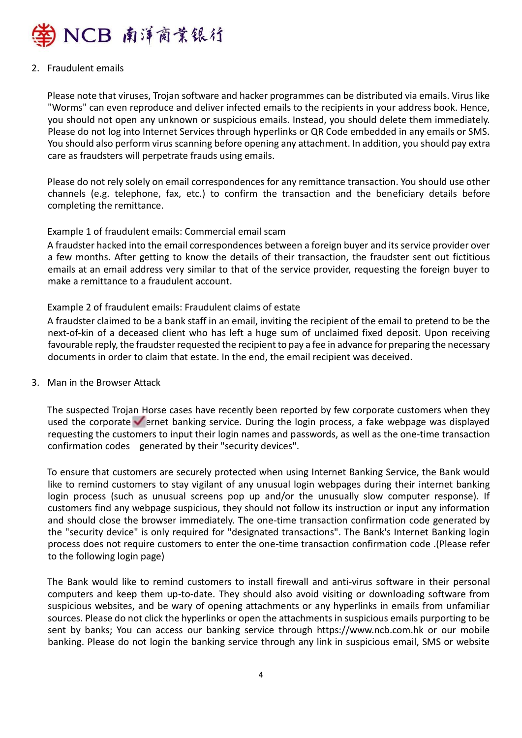

### 2. Fraudulent emails

Please note that viruses, Trojan software and hacker programmes can be distributed via emails. Virus like "Worms" can even reproduce and deliver infected emails to the recipients in your address book. Hence, you should not open any unknown or suspicious emails. Instead, you should delete them immediately. Please do not log into Internet Services through hyperlinks or QR Code embedded in any emails or SMS. You should also perform virus scanning before opening any attachment. In addition, you should pay extra care as fraudsters will perpetrate frauds using emails.

Please do not rely solely on email correspondences for any remittance transaction. You should use other channels (e.g. telephone, fax, etc.) to confirm the transaction and the beneficiary details before completing the remittance.

### Example 1 of fraudulent emails: Commercial email scam

A fraudster hacked into the email correspondences between a foreign buyer and its service provider over a few months. After getting to know the details of their transaction, the fraudster sent out fictitious emails at an email address very similar to that of the service provider, requesting the foreign buyer to make a remittance to a fraudulent account.

### Example 2 of fraudulent emails: Fraudulent claims of estate

A fraudster claimed to be a bank staff in an email, inviting the recipient of the email to pretend to be the next-of-kin of a deceased client who has left a huge sum of unclaimed fixed deposit. Upon receiving favourable reply, the fraudster requested the recipient to pay a fee in advance for preparing the necessary documents in order to claim that estate. In the end, the email recipient was deceived.

#### 3. Man in the Browser Attack

The suspected Trojan Horse cases have recently been reported by few corporate customers when they used the corporate  $\blacktriangleright$  ernet banking service. During the login process, a fake webpage was displayed requesting the customers to input their login names and passwords, as well as the one-time transaction confirmation codes generated by their "security devices".

To ensure that customers are securely protected when using Internet Banking Service, the Bank would like to remind customers to stay vigilant of any unusual login webpages during their internet banking login process (such as unusual screens pop up and/or the unusually slow computer response). If customers find any webpage suspicious, they should not follow its instruction or input any information and should close the browser immediately. The one-time transaction confirmation code generated by the "security device" is only required for "designated transactions". The Bank's Internet Banking login process does not require customers to enter the one-time transaction confirmation code .(Please refer to the following login page)

The Bank would like to remind customers to install firewall and anti-virus software in their personal computers and keep them up-to-date. They should also avoid visiting or downloading software from suspicious websites, and be wary of opening attachments or any hyperlinks in emails from unfamiliar sources. Please do not click the hyperlinks or open the attachments in suspicious emails purporting to be sent by banks; You can access our banking service through https://www.ncb.com.hk or our mobile banking. Please do not login the banking service through any link in suspicious email, SMS or website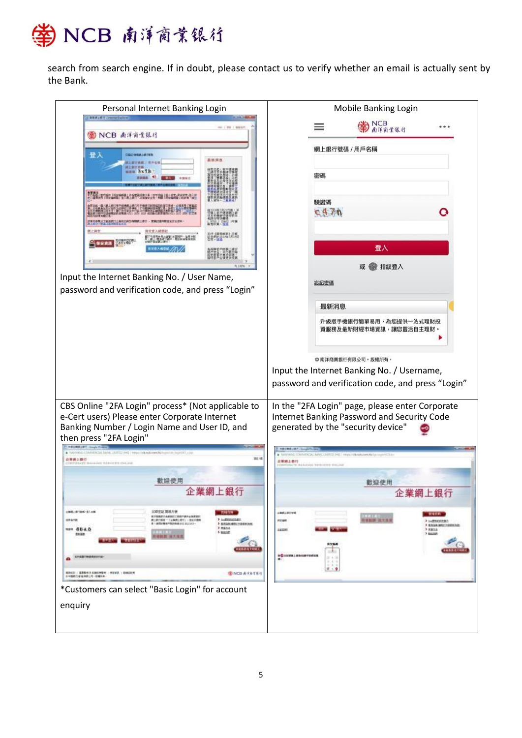

search from search engine. If in doubt, please contact us to verify whether an email is actually sent by the Bank.

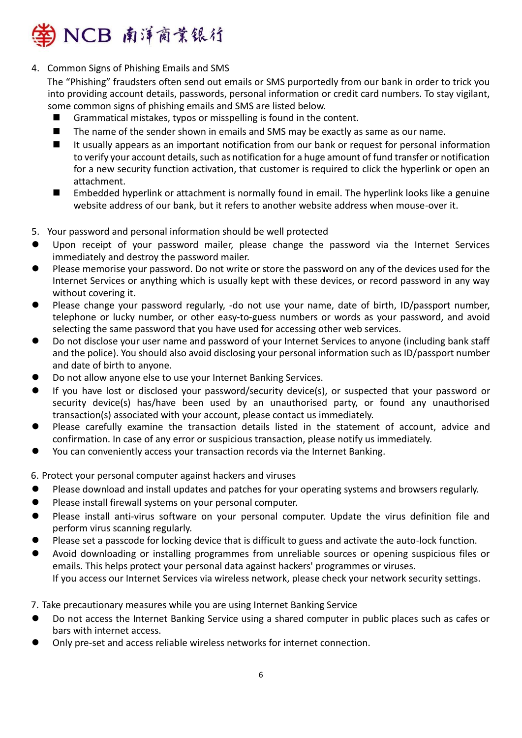

4. Common Signs of Phishing Emails and SMS

The "Phishing" fraudsters often send out emails or SMS purportedly from our bank in order to trick you into providing account details, passwords, personal information or credit card numbers. To stay vigilant, some common signs of phishing emails and SMS are listed below.

- Grammatical mistakes, typos or misspelling is found in the content.
- $\blacksquare$  The name of the sender shown in emails and SMS may be exactly as same as our name.
- It usually appears as an important notification from our bank or request for personal information to verify your account details, such as notification for a huge amount of fund transfer or notification for a new security function activation, that customer is required to click the hyperlink or open an attachment.
- Embedded hyperlink or attachment is normally found in email. The hyperlink looks like a genuine website address of our bank, but it refers to another website address when mouse-over it.
- 5. Your password and personal information should be well protected
- ⚫ Upon receipt of your password mailer, please change the password via the Internet Services immediately and destroy the password mailer.
- Please memorise your password. Do not write or store the password on any of the devices used for the Internet Services or anything which is usually kept with these devices, or record password in any way without covering it.
- Please change your password regularly, -do not use your name, date of birth, ID/passport number, telephone or lucky number, or other easy-to-guess numbers or words as your password, and avoid selecting the same password that you have used for accessing other web services.
- ⚫ Do not disclose your user name and password of your Internet Services to anyone (including bank staff and the police). You should also avoid disclosing your personal information such as ID/passport number and date of birth to anyone.
- ⚫ Do not allow anyone else to use your Internet Banking Services.
- If you have lost or disclosed your password/security device(s), or suspected that your password or security device(s) has/have been used by an unauthorised party, or found any unauthorised transaction(s) associated with your account, please contact us immediately.
- Please carefully examine the transaction details listed in the statement of account, advice and confirmation. In case of any error or suspicious transaction, please notify us immediately.
- You can conveniently access your transaction records via the Internet Banking.

6. Protect your personal computer against hackers and viruses

- Please download and install updates and patches for your operating systems and browsers regularly.
- Please install firewall systems on your personal computer.
- ⚫ Please install anti-virus software on your personal computer. Update the virus definition file and perform virus scanning regularly.
- ⚫ Please set a passcode for locking device that is difficult to guess and activate the auto-lock function.
- ⚫ Avoid downloading or installing programmes from unreliable sources or opening suspicious files or emails. This helps protect your personal data against hackers' programmes or viruses. If you access our Internet Services via wireless network, please check your network security settings.

7. Take precautionary measures while you are using Internet Banking Service

- ⚫ Do not access the Internet Banking Service using a shared computer in public places such as cafes or bars with internet access.
- ⚫ Only pre-set and access reliable wireless networks for internet connection.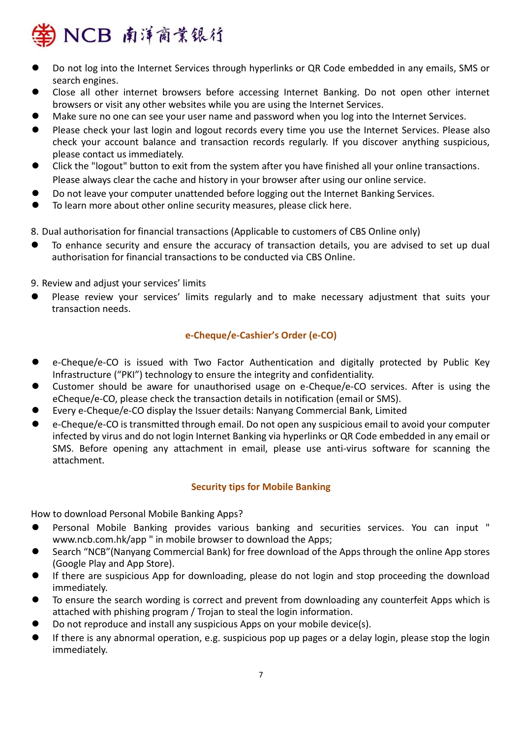

- ⚫ Do not log into the Internet Services through hyperlinks or QR Code embedded in any emails, SMS or search engines.
- ⚫ Close all other internet browsers before accessing Internet Banking. Do not open other internet browsers or visit any other websites while you are using the Internet Services.
- ⚫ Make sure no one can see your user name and password when you log into the Internet Services.
- ⚫ Please check your last login and logout records every time you use the Internet Services. Please also check your account balance and transaction records regularly. If you discover anything suspicious, please contact us immediately.
- ⚫ Click the "logout" button to exit from the system after you have finished all your online transactions. Please always clear the cache and history in your browser after using our online service.
- ⚫ Do not leave your computer unattended before logging out the Internet Banking Services.
- ⚫ To learn more about other online security measures, please click here.

8. Dual authorisation for financial transactions (Applicable to customers of CBS Online only)

- ⚫ To enhance security and ensure the accuracy of transaction details, you are advised to set up dual authorisation for financial transactions to be conducted via CBS Online.
- 9. Review and adjust your services' limits
- ⚫ Please review your services' limits regularly and to make necessary adjustment that suits your transaction needs.

# **e-Cheque/e-Cashier's Order (e-CO)**

- ⚫ e-Cheque/e-CO is issued with Two Factor Authentication and digitally protected by Public Key Infrastructure ("PKI") technology to ensure the integrity and confidentiality.
- ⚫ Customer should be aware for unauthorised usage on e-Cheque/e-CO services. After is using the eCheque/e-CO, please check the transaction details in notification (email or SMS).
- ⚫ Every e-Cheque/e-CO display the Issuer details: Nanyang Commercial Bank, Limited
- ⚫ e-Cheque/e-CO is transmitted through email. Do not open any suspicious email to avoid your computer infected by virus and do not login Internet Banking via hyperlinks or QR Code embedded in any email or SMS. Before opening any attachment in email, please use anti-virus software for scanning the attachment.

# **Security tips for Mobile Banking**

How to download Personal Mobile Banking Apps?

- ⚫ Personal Mobile Banking provides various banking and securities services. You can input " www.ncb.com.hk/app " in mobile browser to download the Apps;
- ⚫ Search "NCB"(Nanyang Commercial Bank) for free download of the Apps through the online App stores (Google Play and App Store).
- If there are suspicious App for downloading, please do not login and stop proceeding the download immediately.
- ⚫ To ensure the search wording is correct and prevent from downloading any counterfeit Apps which is attached with phishing program / Trojan to steal the login information.
- Do not reproduce and install any suspicious Apps on your mobile device(s).
- If there is any abnormal operation, e.g. suspicious pop up pages or a delay login, please stop the login immediately.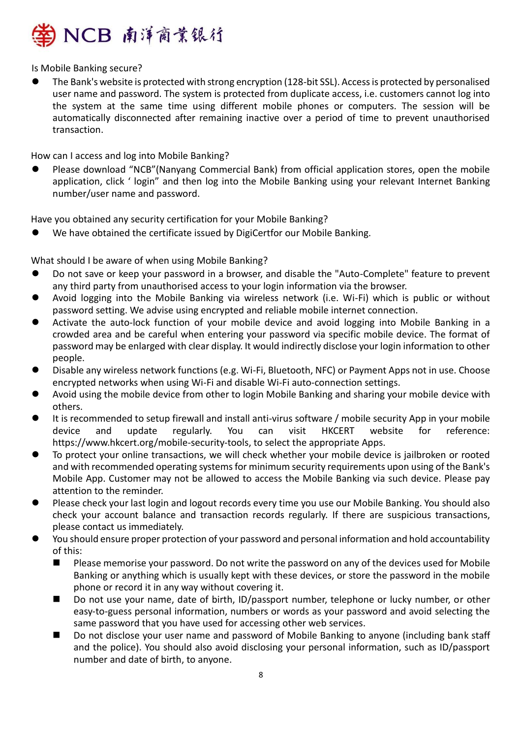

Is Mobile Banking secure?

⚫ The Bank's website is protected with strong encryption (128-bit SSL). Access is protected by personalised user name and password. The system is protected from duplicate access, i.e. customers cannot log into the system at the same time using different mobile phones or computers. The session will be automatically disconnected after remaining inactive over a period of time to prevent unauthorised transaction.

How can I access and log into Mobile Banking?

⚫ Please download "NCB"(Nanyang Commercial Bank) from official application stores, open the mobile application, click ' login" and then log into the Mobile Banking using your relevant Internet Banking number/user name and password.

Have you obtained any security certification for your Mobile Banking?

We have obtained the certificate issued by DigiCertfor our Mobile Banking.

What should I be aware of when using Mobile Banking?

- ⚫ Do not save or keep your password in a browser, and disable the "Auto-Complete" feature to prevent any third party from unauthorised access to your login information via the browser.
- ⚫ Avoid logging into the Mobile Banking via wireless network (i.e. Wi-Fi) which is public or without password setting. We advise using encrypted and reliable mobile internet connection.
- ⚫ Activate the auto-lock function of your mobile device and avoid logging into Mobile Banking in a crowded area and be careful when entering your password via specific mobile device. The format of password may be enlarged with clear display. It would indirectly disclose your login information to other people.
- ⚫ Disable any wireless network functions (e.g. Wi-Fi, Bluetooth, NFC) or Payment Apps not in use. Choose encrypted networks when using Wi-Fi and disable Wi-Fi auto-connection settings.
- ⚫ Avoid using the mobile device from other to login Mobile Banking and sharing your mobile device with others.
- It is recommended to setup firewall and install anti-virus software / mobile security App in your mobile device and update regularly. You can visit HKCERT website for reference: https://www.hkcert.org/mobile-security-tools, to select the appropriate Apps.
- ⚫ To protect your online transactions, we will check whether your mobile device is jailbroken or rooted and with recommended operating systems for minimum security requirements upon using of the Bank's Mobile App. Customer may not be allowed to access the Mobile Banking via such device. Please pay attention to the reminder.
- ⚫ Please check your last login and logout records every time you use our Mobile Banking. You should also check your account balance and transaction records regularly. If there are suspicious transactions, please contact us immediately.
- ⚫ You should ensure proper protection of your password and personal information and hold accountability of this:
	- Please memorise your password. Do not write the password on any of the devices used for Mobile Banking or anything which is usually kept with these devices, or store the password in the mobile phone or record it in any way without covering it.
	- Do not use your name, date of birth, ID/passport number, telephone or lucky number, or other easy-to-guess personal information, numbers or words as your password and avoid selecting the same password that you have used for accessing other web services.
	- Do not disclose your user name and password of Mobile Banking to anyone (including bank staff and the police). You should also avoid disclosing your personal information, such as ID/passport number and date of birth, to anyone.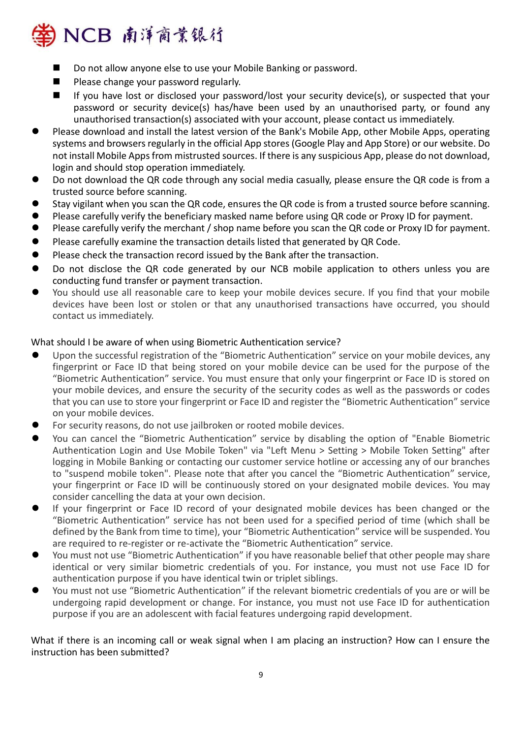

- Do not allow anyone else to use your Mobile Banking or password.
- Please change your password regularly.
- If you have lost or disclosed your password/lost your security device(s), or suspected that your password or security device(s) has/have been used by an unauthorised party, or found any unauthorised transaction(s) associated with your account, please contact us immediately.
- ⚫ Please download and install the latest version of the Bank's Mobile App, other Mobile Apps, operating systems and browsers regularly in the official App stores (Google Play and App Store) or our website. Do not install Mobile Apps from mistrusted sources. If there is any suspicious App, please do not download, login and should stop operation immediately.
- Do not download the QR code through any social media casually, please ensure the QR code is from a trusted source before scanning.
- Stay vigilant when you scan the QR code, ensures the QR code is from a trusted source before scanning.
- Please carefully verify the beneficiary masked name before using QR code or Proxy ID for payment.
- Please carefully verify the merchant / shop name before you scan the QR code or Proxy ID for payment.
- Please carefully examine the transaction details listed that generated by QR Code.
- Please check the transaction record issued by the Bank after the transaction.
- Do not disclose the QR code generated by our NCB mobile application to others unless you are conducting fund transfer or payment transaction.
- You should use all reasonable care to keep your mobile devices secure. If you find that your mobile devices have been lost or stolen or that any unauthorised transactions have occurred, you should contact us immediately.

# What should I be aware of when using Biometric Authentication service?

- Upon the successful registration of the "Biometric Authentication" service on your mobile devices, any fingerprint or Face ID that being stored on your mobile device can be used for the purpose of the "Biometric Authentication" service. You must ensure that only your fingerprint or Face ID is stored on your mobile devices, and ensure the security of the security codes as well as the passwords or codes that you can use to store your fingerprint or Face ID and register the "Biometric Authentication" service on your mobile devices.
- ⚫ For security reasons, do not use jailbroken or rooted mobile devices.
- You can cancel the "Biometric Authentication" service by disabling the option of "Enable Biometric Authentication Login and Use Mobile Token" via "Left Menu > Setting > Mobile Token Setting" after logging in Mobile Banking or contacting our customer service hotline or accessing any of our branches to "suspend mobile token". Please note that after you cancel the "Biometric Authentication" service, your fingerprint or Face ID will be continuously stored on your designated mobile devices. You may consider cancelling the data at your own decision.
- If your fingerprint or Face ID record of your designated mobile devices has been changed or the "Biometric Authentication" service has not been used for a specified period of time (which shall be defined by the Bank from time to time), your "Biometric Authentication" service will be suspended. You are required to re-register or re-activate the "Biometric Authentication" service.
- You must not use "Biometric Authentication" if you have reasonable belief that other people may share identical or very similar biometric credentials of you. For instance, you must not use Face ID for authentication purpose if you have identical twin or triplet siblings.
- ⚫ You must not use "Biometric Authentication" if the relevant biometric credentials of you are or will be undergoing rapid development or change. For instance, you must not use Face ID for authentication purpose if you are an adolescent with facial features undergoing rapid development.

What if there is an incoming call or weak signal when I am placing an instruction? How can I ensure the instruction has been submitted?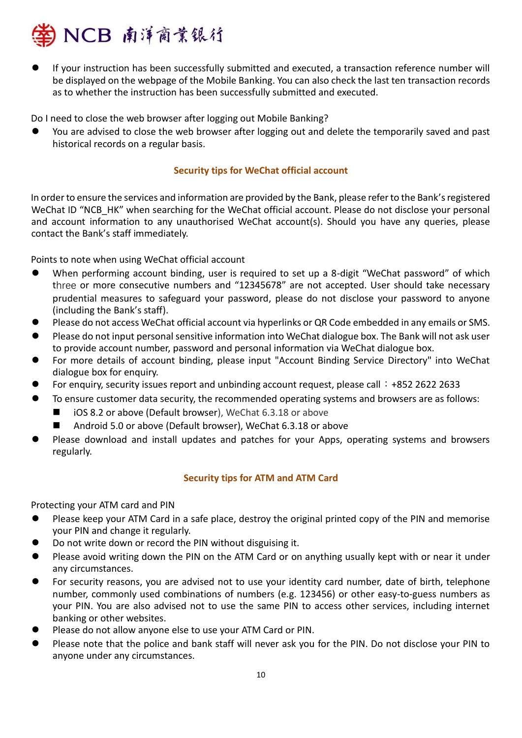

⚫ If your instruction has been successfully submitted and executed, a transaction reference number will be displayed on the webpage of the Mobile Banking. You can also check the last ten transaction records as to whether the instruction has been successfully submitted and executed.

Do I need to close the web browser after logging out Mobile Banking?

You are advised to close the web browser after logging out and delete the temporarily saved and past historical records on a regular basis.

### **Security tips for WeChat official account**

In order to ensure the services and information are provided by the Bank, please refer to the Bank's registered WeChat ID "NCB HK" when searching for the WeChat official account. Please do not disclose your personal and account information to any unauthorised WeChat account(s). Should you have any queries, please contact the Bank's staff immediately.

Points to note when using WeChat official account

- When performing account binding, user is required to set up a 8-digit "WeChat password" of which three or more consecutive numbers and "12345678" are not accepted. User should take necessary prudential measures to safeguard your password, please do not disclose your password to anyone (including the Bank's staff).
- ⚫ Please do not access WeChat official account via hyperlinks or QR Code embedded in any emails or SMS.
- ⚫ Please do not input personal sensitive information into WeChat dialogue box. The Bank will not ask user to provide account number, password and personal information via WeChat dialogue box.
- ⚫ For more details of account binding, please input "Account Binding Service Directory" into WeChat dialogue box for enquiry.
- For enquiry, security issues report and unbinding account request, please call: +852 2622 2633
- ⚫ To ensure customer data security, the recommended operating systems and browsers are as follows:
	- iOS 8.2 or above (Default browser), WeChat 6.3.18 or above
	- Android 5.0 or above (Default browser), WeChat 6.3.18 or above
- ⚫ Please download and install updates and patches for your Apps, operating systems and browsers regularly.

# **Security tips for ATM and ATM Card**

Protecting your ATM card and PIN

- Please keep your ATM Card in a safe place, destroy the original printed copy of the PIN and memorise your PIN and change it regularly.
- ⚫ Do not write down or record the PIN without disguising it.
- Please avoid writing down the PIN on the ATM Card or on anything usually kept with or near it under any circumstances.
- ⚫ For security reasons, you are advised not to use your identity card number, date of birth, telephone number, commonly used combinations of numbers (e.g. 123456) or other easy-to-guess numbers as your PIN. You are also advised not to use the same PIN to access other services, including internet banking or other websites.
- Please do not allow anyone else to use your ATM Card or PIN.
- ⚫ Please note that the police and bank staff will never ask you for the PIN. Do not disclose your PIN to anyone under any circumstances.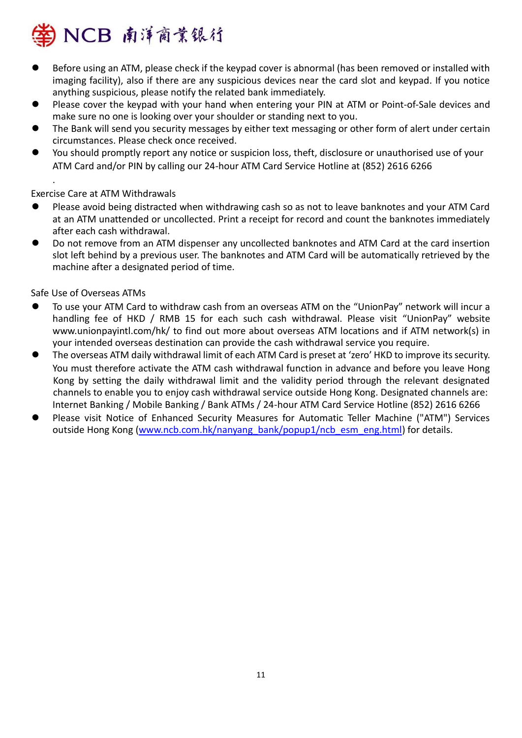

- ⚫ Before using an ATM, please check if the keypad cover is abnormal (has been removed or installed with imaging facility), also if there are any suspicious devices near the card slot and keypad. If you notice anything suspicious, please notify the related bank immediately.
- Please cover the keypad with your hand when entering your PIN at ATM or Point-of-Sale devices and make sure no one is looking over your shoulder or standing next to you.
- The Bank will send you security messages by either text messaging or other form of alert under certain circumstances. Please check once received.
- ⚫ You should promptly report any notice or suspicion loss, theft, disclosure or unauthorised use of your ATM Card and/or PIN by calling our 24-hour ATM Card Service Hotline at (852) 2616 6266

Exercise Care at ATM Withdrawals

.

- ⚫ Please avoid being distracted when withdrawing cash so as not to leave banknotes and your ATM Card at an ATM unattended or uncollected. Print a receipt for record and count the banknotes immediately after each cash withdrawal.
- Do not remove from an ATM dispenser any uncollected banknotes and ATM Card at the card insertion slot left behind by a previous user. The banknotes and ATM Card will be automatically retrieved by the machine after a designated period of time.

Safe Use of Overseas ATMs

- ⚫ To use your ATM Card to withdraw cash from an overseas ATM on the "UnionPay" network will incur a handling fee of HKD / RMB 15 for each such cash withdrawal. Please visit "UnionPay" website www.unionpayintl.com/hk/ to find out more about overseas ATM locations and if ATM network(s) in your intended overseas destination can provide the cash withdrawal service you require.
- ⚫ The overseas ATM daily withdrawal limit of each ATM Card is preset at 'zero' HKD to improve its security. You must therefore activate the ATM cash withdrawal function in advance and before you leave Hong Kong by setting the daily withdrawal limit and the validity period through the relevant designated channels to enable you to enjoy cash withdrawal service outside Hong Kong. Designated channels are: Internet Banking / Mobile Banking / Bank ATMs / 24-hour ATM Card Service Hotline (852) 2616 6266
- ⚫ Please visit Notice of Enhanced Security Measures for Automatic Teller Machine ("ATM") Services outside Hong Kong [\(www.ncb.com.hk/nanyang\\_bank/popup1/ncb\\_esm\\_eng.html\)](http://www.ncb.com.hk/nanyang_bank/popup1/ncb_esm_eng.html) for details.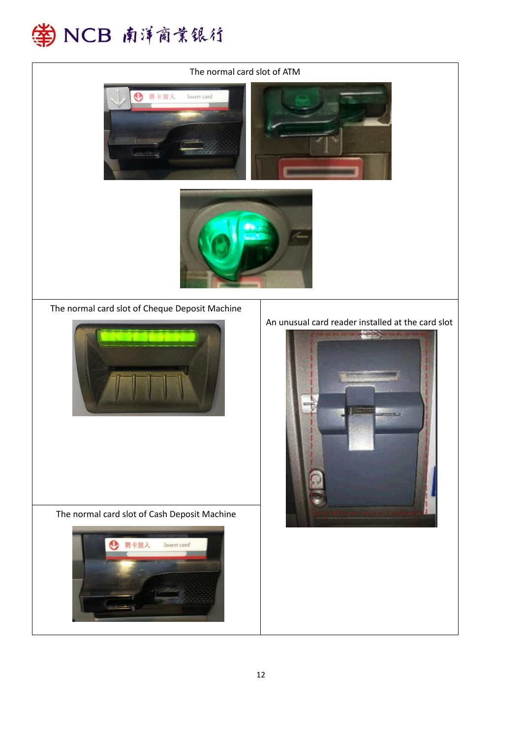

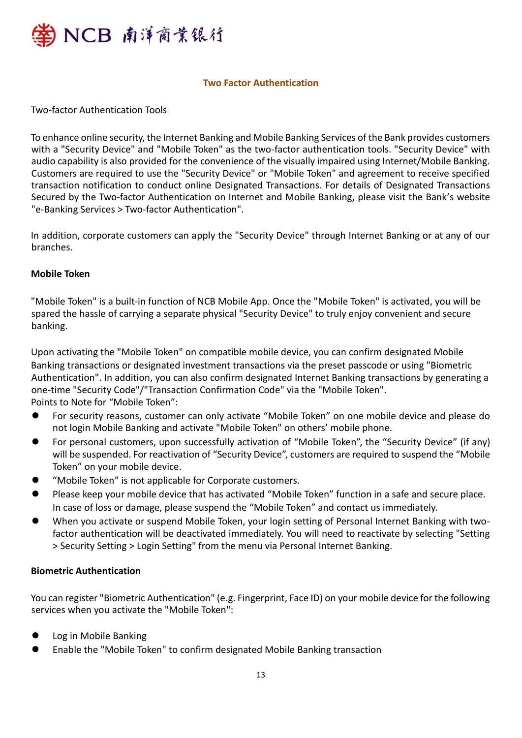

### **Two Factor Authentication**

Two-factor Authentication Tools

To enhance online security, the Internet Banking and Mobile Banking Services of the Bank provides customers with a "Security Device" and "Mobile Token" as the two-factor authentication tools. "Security Device" with audio capability is also provided for the convenience of the visually impaired using Internet/Mobile Banking. Customers are required to use the "Security Device" or "Mobile Token" and agreement to receive specified transaction notification to conduct online Designated Transactions. For details of Designated Transactions Secured by the Two-factor Authentication on Internet and Mobile Banking, please visit the Bank's website "e-Banking Services > Two-factor Authentication".

In addition, corporate customers can apply the "Security Device" through Internet Banking or at any of our branches.

# **Mobile Token**

"Mobile Token" is a built-in function of NCB Mobile App. Once the "Mobile Token" is activated, you will be spared the hassle of carrying a separate physical "Security Device" to truly enjoy convenient and secure banking.

Upon activating the "Mobile Token" on compatible mobile device, you can confirm designated Mobile Banking transactions or designated investment transactions via the preset passcode or using "Biometric Authentication". In addition, you can also confirm designated Internet Banking transactions by generating a one-time "Security Code"/"Transaction Confirmation Code" via the "Mobile Token". Points to Note for "Mobile Token":

- ⚫ For security reasons, customer can only activate "Mobile Token" on one mobile device and please do not login Mobile Banking and activate "Mobile Token" on others' mobile phone.
- ⚫ For personal customers, upon successfully activation of "Mobile Token", the "Security Device" (if any) will be suspended. For reactivation of "Security Device", customers are required to suspend the "Mobile Token" on your mobile device.
- ⚫ "Mobile Token" is not applicable for Corporate customers.
- ⚫ Please keep your mobile device that has activated "Mobile Token" function in a safe and secure place. In case of loss or damage, please suspend the "Mobile Token" and contact us immediately.
- ⚫ When you activate or suspend Mobile Token, your login setting of Personal Internet Banking with twofactor authentication will be deactivated immediately. You will need to reactivate by selecting "Setting > Security Setting > Login Setting" from the menu via Personal Internet Banking.

### **Biometric Authentication**

You can register "Biometric Authentication" (e.g. Fingerprint, Face ID) on your mobile device for the following services when you activate the "Mobile Token":

- Log in Mobile Banking
- ⚫ Enable the "Mobile Token" to confirm designated Mobile Banking transaction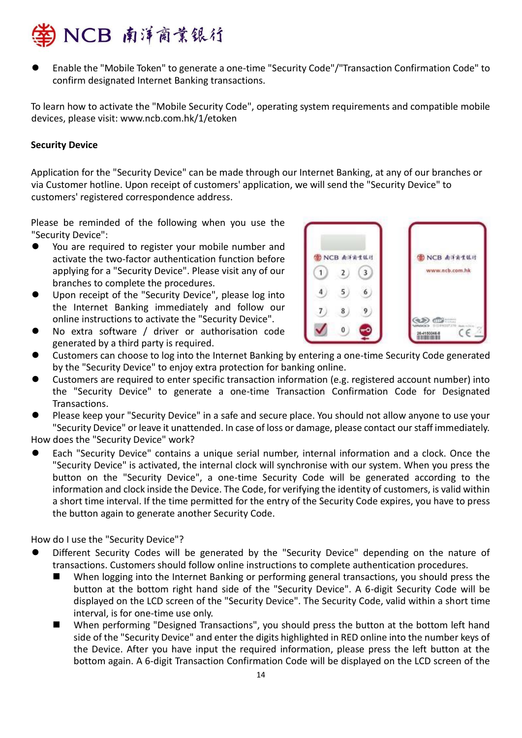

⚫ Enable the "Mobile Token" to generate a one-time "Security Code"/"Transaction Confirmation Code" to confirm designated Internet Banking transactions.

To learn how to activate the "Mobile Security Code", operating system requirements and compatible mobile devices, please visit: www.ncb.com.hk/1/etoken

### **Security Device**

Application for the "Security Device" can be made through our Internet Banking, at any of our branches or via Customer hotline. Upon receipt of customers' application, we will send the "Security Device" to customers' registered correspondence address.

Please be reminded of the following when you use the "Security Device":

- You are required to register your mobile number and activate the two-factor authentication function before applying for a "Security Device". Please visit any of our branches to complete the procedures.
- ⚫ Upon receipt of the "Security Device", please log into the Internet Banking immediately and follow our online instructions to activate the "Security Device".
- No extra software / driver or authorisation code generated by a third party is required.



- ⚫ Customers can choose to log into the Internet Banking by entering a one-time Security Code generated by the "Security Device" to enjoy extra protection for banking online.
- ⚫ Customers are required to enter specific transaction information (e.g. registered account number) into the "Security Device" to generate a one-time Transaction Confirmation Code for Designated Transactions.
- ⚫ Please keep your "Security Device" in a safe and secure place. You should not allow anyone to use your "Security Device" or leave it unattended. In case of loss or damage, please contact our staff immediately. How does the "Security Device" work?

⚫ Each "Security Device" contains a unique serial number, internal information and a clock. Once the "Security Device" is activated, the internal clock will synchronise with our system. When you press the button on the "Security Device", a one-time Security Code will be generated according to the information and clock inside the Device. The Code, for verifying the identity of customers, is valid within a short time interval. If the time permitted for the entry of the Security Code expires, you have to press the button again to generate another Security Code.

How do I use the "Security Device"?

- ⚫ Different Security Codes will be generated by the "Security Device" depending on the nature of transactions. Customers should follow online instructions to complete authentication procedures.
	- When logging into the Internet Banking or performing general transactions, you should press the button at the bottom right hand side of the "Security Device". A 6-digit Security Code will be displayed on the LCD screen of the "Security Device". The Security Code, valid within a short time interval, is for one-time use only.
	- When performing "Designed Transactions", you should press the button at the bottom left hand side of the "Security Device" and enter the digits highlighted in RED online into the number keys of the Device. After you have input the required information, please press the left button at the bottom again. A 6-digit Transaction Confirmation Code will be displayed on the LCD screen of the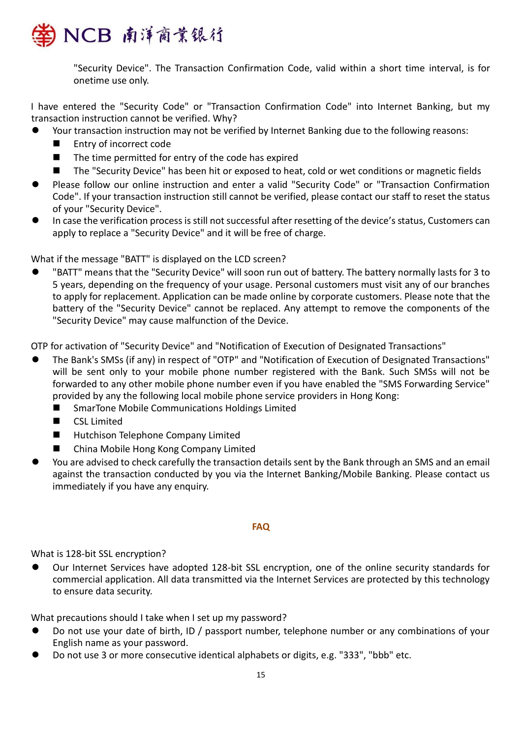

"Security Device". The Transaction Confirmation Code, valid within a short time interval, is for onetime use only.

I have entered the "Security Code" or "Transaction Confirmation Code" into Internet Banking, but my transaction instruction cannot be verified. Why?

- Your transaction instruction may not be verified by Internet Banking due to the following reasons:
	- Entry of incorrect code
	- The time permitted for entry of the code has expired
	- The "Security Device" has been hit or exposed to heat, cold or wet conditions or magnetic fields
- ⚫ Please follow our online instruction and enter a valid "Security Code" or "Transaction Confirmation Code". If your transaction instruction still cannot be verified, please contact our staff to reset the status of your "Security Device".
- ⚫ In case the verification process is still not successful after resetting of the device's status, Customers can apply to replace a "Security Device" and it will be free of charge.

What if the message "BATT" is displayed on the LCD screen?

⚫ "BATT" means that the "Security Device" will soon run out of battery. The battery normally lasts for 3 to 5 years, depending on the frequency of your usage. Personal customers must visit any of our branches to apply for replacement. Application can be made online by corporate customers. Please note that the battery of the "Security Device" cannot be replaced. Any attempt to remove the components of the "Security Device" may cause malfunction of the Device.

OTP for activation of "Security Device" and "Notification of Execution of Designated Transactions"

- ⚫ The Bank's SMSs (if any) in respect of "OTP" and "Notification of Execution of Designated Transactions" will be sent only to your mobile phone number registered with the Bank. Such SMSs will not be forwarded to any other mobile phone number even if you have enabled the "SMS Forwarding Service" provided by any the following local mobile phone service providers in Hong Kong:
	- SmarTone Mobile Communications Holdings Limited
	- CSL Limited
	- Hutchison Telephone Company Limited
	- China Mobile Hong Kong Company Limited
- ⚫ You are advised to check carefully the transaction details sent by the Bank through an SMS and an email against the transaction conducted by you via the Internet Banking/Mobile Banking. Please contact us immediately if you have any enquiry.

#### **FAQ**

#### What is 128-bit SSL encryption?

⚫ Our Internet Services have adopted 128-bit SSL encryption, one of the online security standards for commercial application. All data transmitted via the Internet Services are protected by this technology to ensure data security.

What precautions should I take when I set up my password?

- Do not use your date of birth, ID / passport number, telephone number or any combinations of your English name as your password.
- ⚫ Do not use 3 or more consecutive identical alphabets or digits, e.g. "333", "bbb" etc.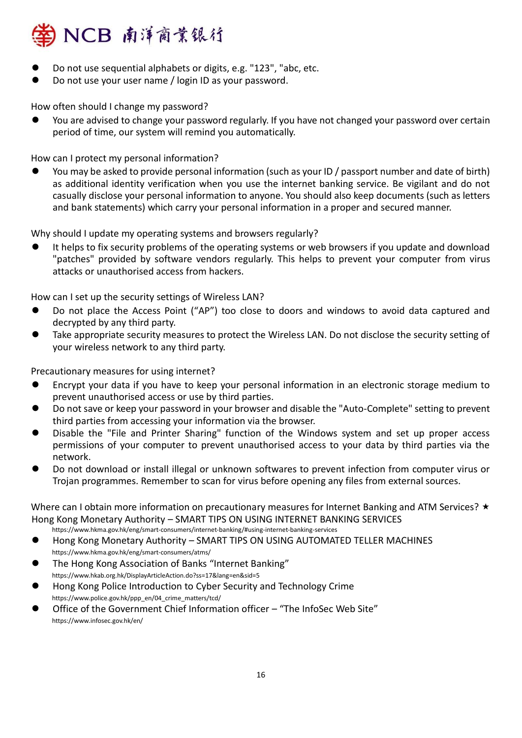

- ⚫ Do not use sequential alphabets or digits, e.g. "123", "abc, etc.
- ⚫ Do not use your user name / login ID as your password.

How often should I change my password?

⚫ You are advised to change your password regularly. If you have not changed your password over certain period of time, our system will remind you automatically.

How can I protect my personal information?

⚫ You may be asked to provide personal information (such as your ID / passport number and date of birth) as additional identity verification when you use the internet banking service. Be vigilant and do not casually disclose your personal information to anyone. You should also keep documents (such as letters and bank statements) which carry your personal information in a proper and secured manner.

Why should I update my operating systems and browsers regularly?

⚫ It helps to fix security problems of the operating systems or web browsers if you update and download "patches" provided by software vendors regularly. This helps to prevent your computer from virus attacks or unauthorised access from hackers.

How can I set up the security settings of Wireless LAN?

- ⚫ Do not place the Access Point ("AP") too close to doors and windows to avoid data captured and decrypted by any third party.
- Take appropriate security measures to protect the Wireless LAN. Do not disclose the security setting of your wireless network to any third party.

Precautionary measures for using internet?

- ⚫ Encrypt your data if you have to keep your personal information in an electronic storage medium to prevent unauthorised access or use by third parties.
- ⚫ Do not save or keep your password in your browser and disable the "Auto-Complete" setting to prevent third parties from accessing your information via the browser.
- ⚫ Disable the "File and Printer Sharing" function of the Windows system and set up proper access permissions of your computer to prevent unauthorised access to your data by third parties via the network.
- ⚫ Do not download or install illegal or unknown softwares to prevent infection from computer virus or Trojan programmes. Remember to scan for virus before opening any files from external sources.

Where can I obtain more information on precautionary measures for Internet Banking and ATM Services?  $\star$ Hong Kong Monetary Authority – SMART TIPS ON USING INTERNET BANKING SERVICES

https://www.hkma.gov.hk/eng/smart-consumers/internet-banking/#using-internet-banking-services

- ⚫ Hong Kong Monetary Authority SMART TIPS ON USING AUTOMATED TELLER MACHINES https://www.hkma.gov.hk/eng/smart-consumers/atms/
- ⚫ The Hong Kong Association of Banks "Internet Banking" https://www.hkab.org.hk/DisplayArticleAction.do?ss=17&lang=en&sid=5
- ⚫ Hong Kong Police Introduction to Cyber Security and Technology Crime https://www.police.gov.hk/ppp\_en/04\_crime\_matters/tcd/
- ⚫ Office of the Government Chief Information officer "The InfoSec Web Site" https://www.infosec.gov.hk/en/